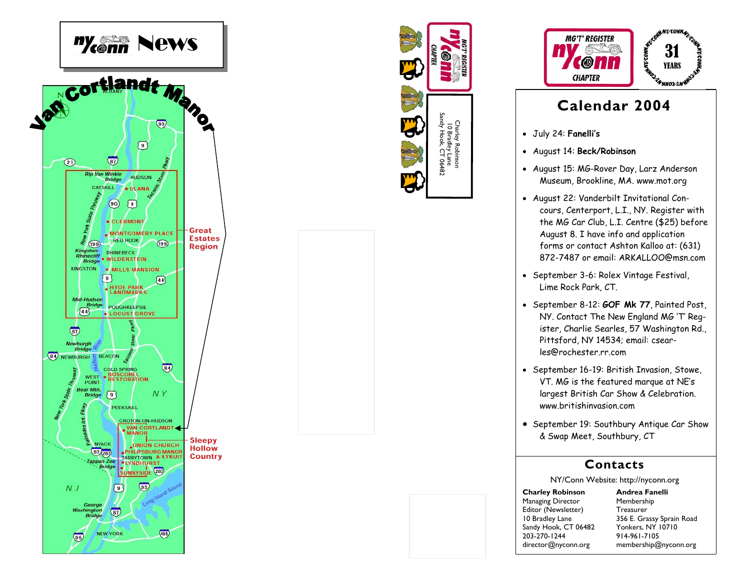





## **Calendar 2004**

- July 24: **Fanelli's**
- August 14: **Beck/Robinson**
- August 15: MG-Rover Day, Larz Anderson Museum, Brookline, MA. www.mot.org
- August 22: Vanderbilt Invitational Concours, Centerport, L.I., NY. Register with the MG Car Club, L.I. Centre (\$25) before August 8. I have info and application forms or contact Ashton Kalloo at: (631) 872-7487 or email: ARKALLOO@msn.com
- September 3-6: Rolex Vintage Festival, Lime Rock Park, CT.
- September 8-12: **GOF Mk 77**, Painted Post, NY. Contact The New England MG 'T' Register, Charlie Searles, 57 Washington Rd., Pittsford, NY 14534; email: csearles@rochester.rr.com
- September 16-19: British Invasion, Stowe, VT. MG is the featured marque at NE's largest British Car Show & Celebration. www.britishinvasion.com
- September 19: Southbury Antique Car Show & Swap Meet, Southbury, CT

## **Contacts**

NY/Conn Website: http://nyconn.org

**Charley Robinson**  Managing Director Editor (Newsletter) 10 Bradley Lane Sandy Hook, CT 06482 203-270-1244 director@nyconn.org

**Andrea Fanelli** Membership Treasurer 356 E. Grassy Sprain Road Yonkers, NY 10710 914-961-7105 membership@nyconn.org